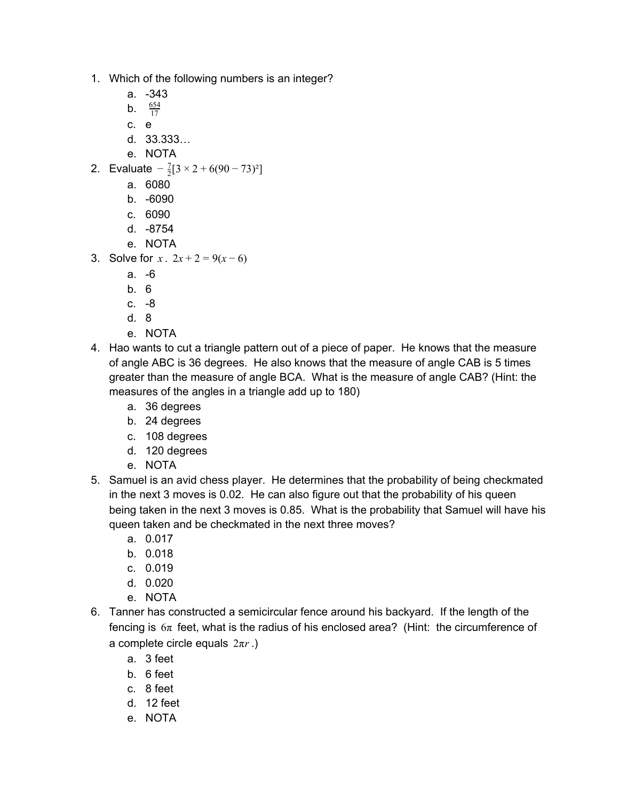- 1. Which of the following numbers is an integer?
	- a. -343
	- **b.**  $\frac{654}{17}$
	- c. e
	- d. 33.333…
	- e. NOTA
- 2. Evaluate  $-\frac{7}{2}[3 \times 2 + 6(90 73)^2]$ 
	- a. 6080
	- b. -6090
	- c. 6090
	- d. -8754
	- e. NOTA
- 3. Solve for  $x \cdot 2x + 2 = 9(x 6)$ 
	- a. -6
	- b. 6
	- c. -8
	- d. 8
	- e. NOTA
- 4. Hao wants to cut a triangle pattern out of a piece of paper. He knows that the measure of angle ABC is 36 degrees. He also knows that the measure of angle CAB is 5 times greater than the measure of angle BCA. What is the measure of angle CAB? (Hint: the measures of the angles in a triangle add up to 180)
	- a. 36 degrees
	- b. 24 degrees
	- c. 108 degrees
	- d. 120 degrees
	- e. NOTA
- 5. Samuel is an avid chess player. He determines that the probability of being checkmated in the next 3 moves is 0.02. He can also figure out that the probability of his queen being taken in the next 3 moves is 0.85. What is the probability that Samuel will have his queen taken and be checkmated in the next three moves?
	- a. 0.017
	- b. 0.018
	- c. 0.019
	- d. 0.020
	- e. NOTA
- 6. Tanner has constructed a semicircular fence around his backyard. If the length of the fencing is  $6\pi$  feet, what is the radius of his enclosed area? (Hint: the circumference of a complete circle equals 2π*r* .)
	- a. 3 feet
	- b. 6 feet
	- c. 8 feet
	- d. 12 feet
	- e. NOTA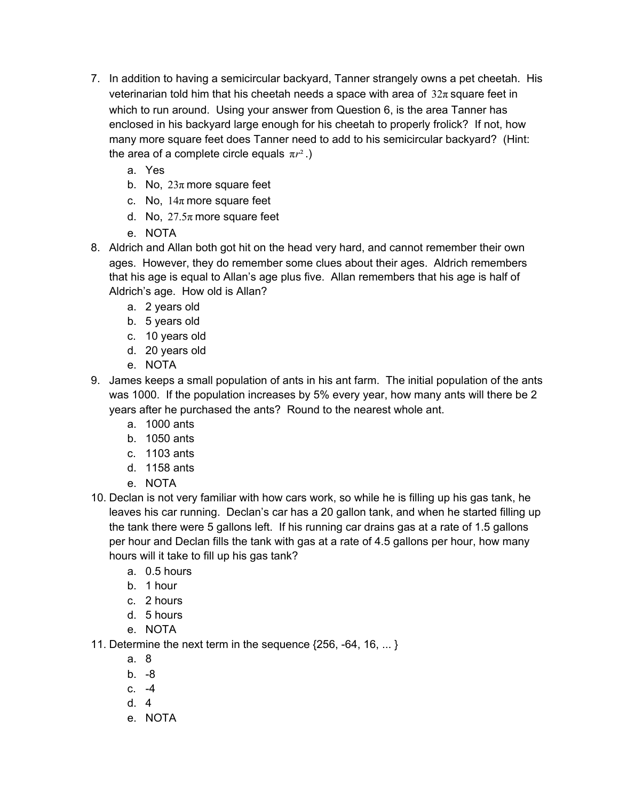- 7. In addition to having a semicircular backyard, Tanner strangely owns a pet cheetah. His veterinarian told him that his cheetah needs a space with area of  $32\pi$  square feet in which to run around. Using your answer from Question 6, is the area Tanner has enclosed in his backyard large enough for his cheetah to properly frolick? If not, how many more square feet does Tanner need to add to his semicircular backyard? (Hint: the area of a complete circle equals  $\pi r^2$ .)
	- a. Yes
	- b. No,  $23\pi$  more square feet
	- c. No,  $14\pi$  more square feet
	- d. No,  $27.5\pi$  more square feet
	- e. NOTA
- 8. Aldrich and Allan both got hit on the head very hard, and cannot remember their own ages. However, they do remember some clues about their ages. Aldrich remembers that his age is equal to Allan's age plus five. Allan remembers that his age is half of Aldrich's age. How old is Allan?
	- a. 2 years old
	- b. 5 years old
	- c. 10 years old
	- d. 20 years old
	- e. NOTA
- 9. James keeps a small population of ants in his ant farm. The initial population of the ants was 1000. If the population increases by 5% every year, how many ants will there be 2 years after he purchased the ants? Round to the nearest whole ant.
	- a. 1000 ants
	- b. 1050 ants
	- c. 1103 ants
	- d. 1158 ants
	- e. NOTA
- 10. Declan is not very familiar with how cars work, so while he is filling up his gas tank, he leaves his car running. Declan's car has a 20 gallon tank, and when he started filling up the tank there were 5 gallons left. If his running car drains gas at a rate of 1.5 gallons per hour and Declan fills the tank with gas at a rate of 4.5 gallons per hour, how many hours will it take to fill up his gas tank?
	- a. 0.5 hours
	- b. 1 hour
	- c. 2 hours
	- d. 5 hours
	- e. NOTA
- 11. Determine the next term in the sequence {256, -64, 16, ... }
	- a. 8
	- b. -8
	- c. -4
	- d. 4
	- e. NOTA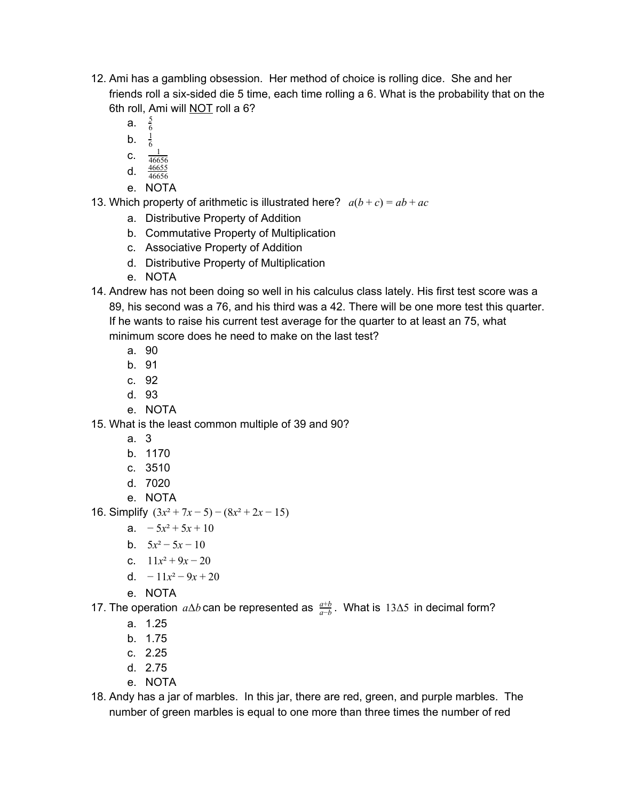- 12. Ami has a gambling obsession. Her method of choice is rolling dice. She and her friends roll a six-sided die 5 time, each time rolling a 6. What is the probability that on the 6th roll, Ami will NOT roll a 6?
	- a. <sup>6</sup>  $\frac{5}{6}$
	- b.  $\frac{1}{6}$ 1
	- C.  $\frac{1}{466}$
	- 46656 d.  $\frac{46655}{46656}$
	- e. NOTA

13. Which property of arithmetic is illustrated here?  $a(b+c) = ab + ac$ 

- a. Distributive Property of Addition
- b. Commutative Property of Multiplication
- c. Associative Property of Addition
- d. Distributive Property of Multiplication
- e. NOTA
- 14. Andrew has not been doing so well in his calculus class lately. His first test score was a 89, his second was a 76, and his third was a 42. There will be one more test this quarter. If he wants to raise his current test average for the quarter to at least an 75, what minimum score does he need to make on the last test?
	- a. 90
	- b. 91
	- c. 92
	- d. 93
	- e. NOTA

15. What is the least common multiple of 39 and 90?

- a. 3
- b. 1170
- c. 3510
- d. 7020
- e. NOTA

16. Simplify  $(3x^2 + 7x - 5) - (8x^2 + 2x - 15)$ 

- a.  $-5x^2 + 5x + 10$
- b.  $5x^2 5x 10$
- c.  $11x^2 + 9x 20$
- d.  $-11x^2 9x + 20$
- e. NOTA

17. The operation  $a\Delta b$  can be represented as  $\frac{a+b}{a-b}$ . What is 13∆5 in decimal form?

- a. 1.25
- b. 1.75
- c. 2.25
- d. 2.75
- e. NOTA
- 18. Andy has a jar of marbles. In this jar, there are red, green, and purple marbles. The number of green marbles is equal to one more than three times the number of red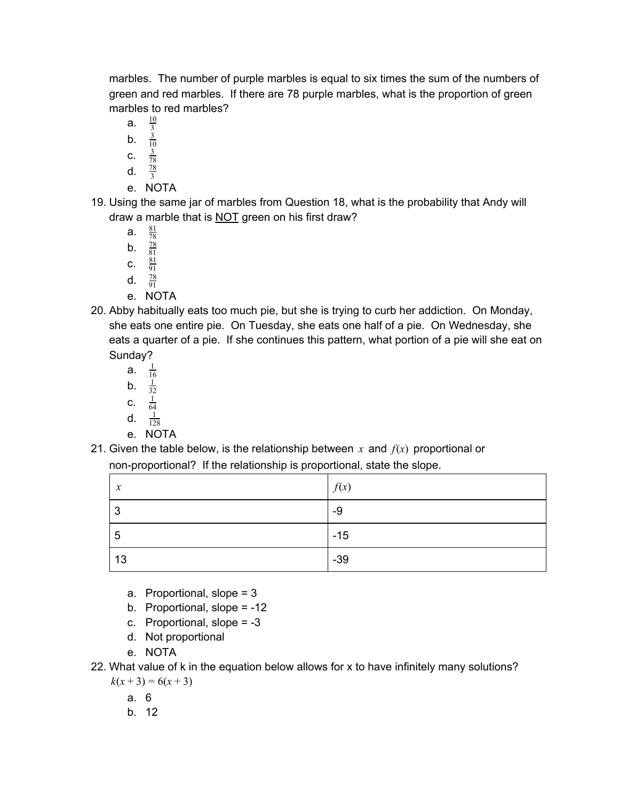marbles. The number of purple marbles is equal to six times the sum of the numbers of green and red marbles. If there are 78 purple marbles, what is the proportion of green marbles to red marbles?

- a.  $\frac{10}{3}$
- b. 3  $\overline{10}$
- **c.**  $\frac{3}{78}$
- 78 d.  $\frac{78}{3}$
- e. NOTA
- 19. Using the same jar of marbles from Question 18, what is the probability that Andy will draw a marble that is NOT green on his first draw?
	- a.  $\frac{81}{78}$ **b**.  $\frac{78}{81}$
	- C.  $\frac{81}{91}$
	- d.  $\frac{78}{91}$
	- e. NOTA
- 20. Abby habitually eats too much pie, but she is trying to curb her addiction. On Monday, she eats one entire pie. On Tuesday, she eats one half of a pie. On Wednesday, she eats a quarter of a pie. If she continues this pattern, what portion of a pie will she eat on Sunday?
	- a.  $\frac{1}{16}$ 16
	- b.  $\frac{1}{32}$ 32
	- c.  $\frac{1}{64}$ 64
	- d.  $\frac{1}{12}$ 128
	- e. NOTA
- 21. Given the table below, is the relationship between *x* and *f*(*x*) proportional or

## non-proportional? If the relationship is proportional, state the slope.

| $\boldsymbol{x}$ | f(x)  |
|------------------|-------|
| 3                | -9    |
| 5                | $-15$ |
| 13               | $-39$ |

- a. Proportional, slope = 3
- b. Proportional, slope = -12
- c. Proportional, slope = -3
- d. Not proportional
- e. NOTA
- 22. What value of k in the equation below allows for x to have infinitely many solutions?  $k(x+3) = 6(x+3)$

a. 6

b. 12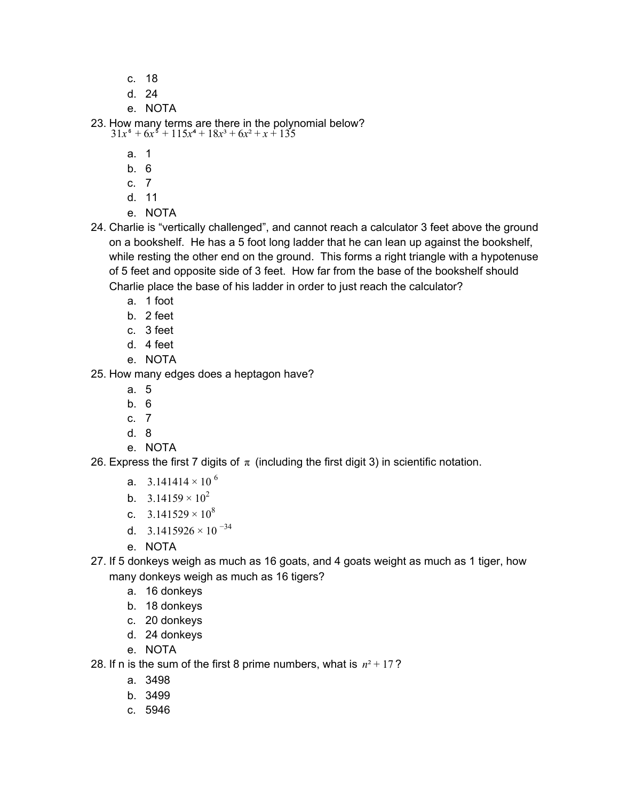- c. 18
- d. 24
- e. NOTA

23. How many terms are there in the polynomial below?  $31x^6 + 6x^5 + 115x^4 + 18x^3 + 6x^2 + x + 135$ 

- a. 1
- b. 6
- c. 7
- d. 11
- e. NOTA
- 24. Charlie is "vertically challenged", and cannot reach a calculator 3 feet above the ground on a bookshelf. He has a 5 foot long ladder that he can lean up against the bookshelf, while resting the other end on the ground. This forms a right triangle with a hypotenuse of 5 feet and opposite side of 3 feet. How far from the base of the bookshelf should Charlie place the base of his ladder in order to just reach the calculator?
	- a. 1 foot
	- b. 2 feet
	- c. 3 feet
	- d. 4 feet
	- e. NOTA

25. How many edges does a heptagon have?

- a. 5
- b. 6
- c. 7
- d. 8
- e. NOTA

26. Express the first 7 digits of  $\pi$  (including the first digit 3) in scientific notation.

- a. 3.141414  $\times$  10  $^6$
- b.  $3.14159 \times 10^{2}$
- c.  $3.141529 \times 10^8$
- d.  $3.1415926 \times 10^{-34}$
- e. NOTA
- 27. If 5 donkeys weigh as much as 16 goats, and 4 goats weight as much as 1 tiger, how many donkeys weigh as much as 16 tigers?
	- a. 16 donkeys
	- b. 18 donkeys
	- c. 20 donkeys
	- d. 24 donkeys
	- e. NOTA
- 28. If n is the sum of the first 8 prime numbers, what is  $n^2 + 17$ ?
	- a. 3498
	- b. 3499
	- c. 5946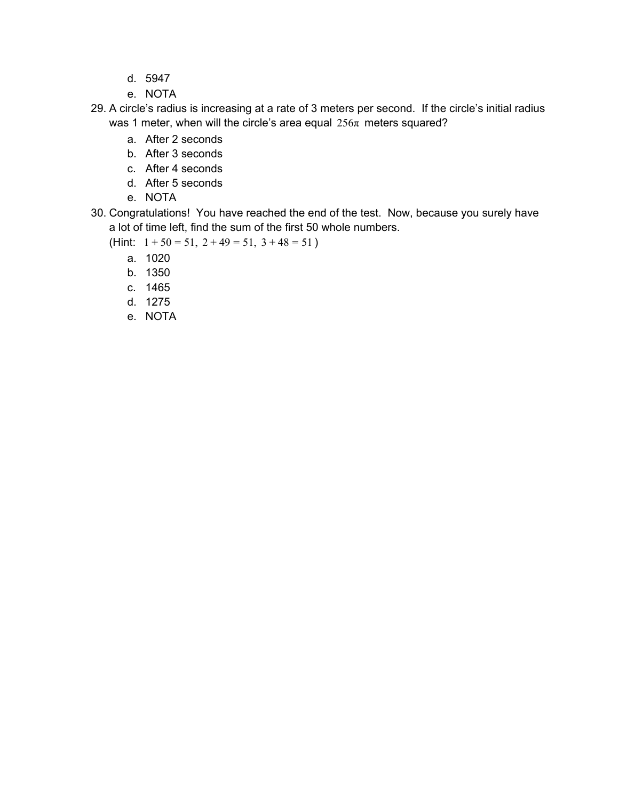- d. 5947
- e. NOTA
- 29. A circle's radius is increasing at a rate of 3 meters per second. If the circle's initial radius was 1 meter, when will the circle's area equal  $256\pi$  meters squared?
	- a. After 2 seconds
	- b. After 3 seconds
	- c. After 4 seconds
	- d. After 5 seconds
	- e. NOTA
- 30. Congratulations! You have reached the end of the test. Now, because you surely have a lot of time left, find the sum of the first 50 whole numbers.
	- (Hint:  $1 + 50 = 51$ ,  $2 + 49 = 51$ ,  $3 + 48 = 51$ )
		- a. 1020
		- b. 1350
		- c. 1465
		- d. 1275
		- e. NOTA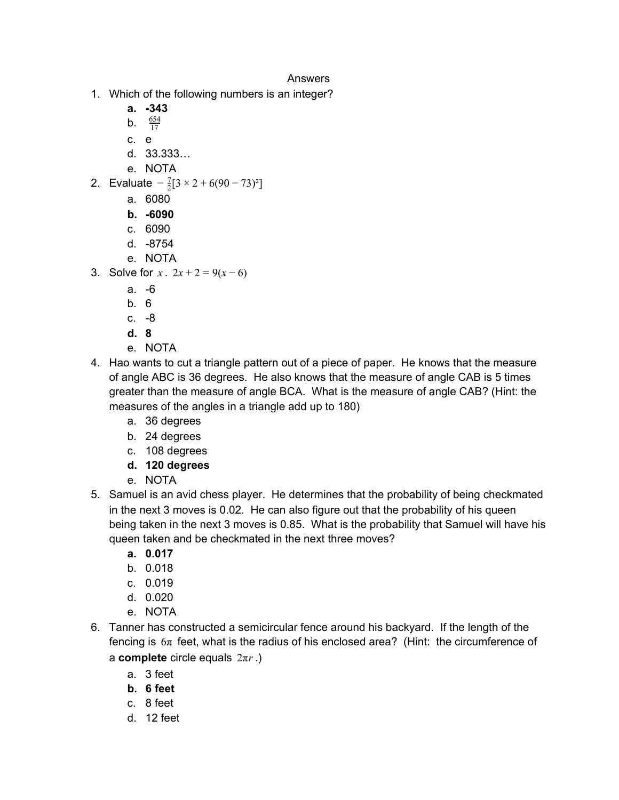## Answers

- 1. Which of the following numbers is an integer?
	- **a. -343**
	- **b.**  $\frac{654}{17}$
	- c. e
	- d. 33.333…
	- e. NOTA
- 2. Evaluate  $-\frac{7}{2}[3 \times 2 + 6(90 73)^2]$ 
	- a. 6080
	- **b. -6090**
	- c. 6090
	- d. -8754
	- e. NOTA
- 3. Solve for  $x \cdot 2x + 2 = 9(x-6)$ 
	- a. -6
	- b. 6
	- c. -8
	- **d. 8**
	- e. NOTA
- 4. Hao wants to cut a triangle pattern out of a piece of paper. He knows that the measure of angle ABC is 36 degrees. He also knows that the measure of angle CAB is 5 times greater than the measure of angle BCA. What is the measure of angle CAB? (Hint: the measures of the angles in a triangle add up to 180)
	- a. 36 degrees
	- b. 24 degrees
	- c. 108 degrees
	- **d. 120 degrees**
	- e. NOTA
- 5. Samuel is an avid chess player. He determines that the probability of being checkmated in the next 3 moves is 0.02. He can also figure out that the probability of his queen being taken in the next 3 moves is 0.85. What is the probability that Samuel will have his queen taken and be checkmated in the next three moves?
	- **a. 0.017**
	- b. 0.018
	- c. 0.019
	- d. 0.020
	- e. NOTA
- 6. Tanner has constructed a semicircular fence around his backyard. If the length of the fencing is  $6\pi$  feet, what is the radius of his enclosed area? (Hint: the circumference of a **complete** circle equals 2π*r* .)
	- a. 3 feet
	- **b. 6 feet**
	- c. 8 feet
	- d. 12 feet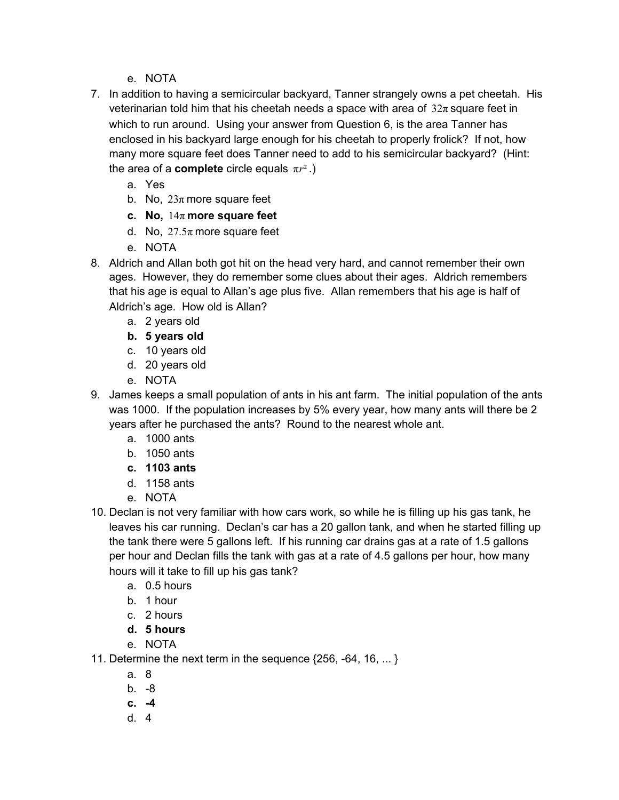- e. NOTA
- 7. In addition to having a semicircular backyard, Tanner strangely owns a pet cheetah. His veterinarian told him that his cheetah needs a space with area of  $32\pi$  square feet in which to run around. Using your answer from Question 6, is the area Tanner has enclosed in his backyard large enough for his cheetah to properly frolick? If not, how many more square feet does Tanner need to add to his semicircular backyard? (Hint: the area of a **complete** circle equals  $\pi r^2$ .)
	- a. Yes
	- b. No,  $23\pi$  more square feet
	- **c. No,** 14π **more square feet**
	- d. No,  $27.5\pi$  more square feet
	- e. NOTA
- 8. Aldrich and Allan both got hit on the head very hard, and cannot remember their own ages. However, they do remember some clues about their ages. Aldrich remembers that his age is equal to Allan's age plus five. Allan remembers that his age is half of Aldrich's age. How old is Allan?
	- a. 2 years old
	- **b. 5 years old**
	- c. 10 years old
	- d. 20 years old
	- e. NOTA
- 9. James keeps a small population of ants in his ant farm. The initial population of the ants was 1000. If the population increases by 5% every year, how many ants will there be 2 years after he purchased the ants? Round to the nearest whole ant.
	- a. 1000 ants
	- b. 1050 ants
	- **c. 1103 ants**
	- d. 1158 ants
	- e. NOTA
- 10. Declan is not very familiar with how cars work, so while he is filling up his gas tank, he leaves his car running. Declan's car has a 20 gallon tank, and when he started filling up the tank there were 5 gallons left. If his running car drains gas at a rate of 1.5 gallons per hour and Declan fills the tank with gas at a rate of 4.5 gallons per hour, how many hours will it take to fill up his gas tank?
	- a. 0.5 hours
	- b. 1 hour
	- c. 2 hours
	- **d. 5 hours**
	- e. NOTA

11. Determine the next term in the sequence {256, -64, 16, ... }

- a. 8
- b. -8
- **c. -4**
- d. 4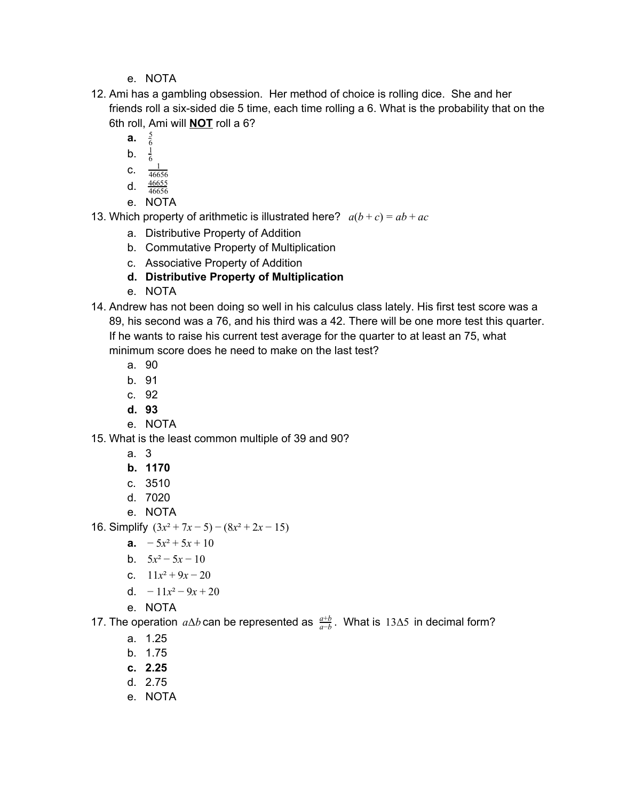- e. NOTA
- 12. Ami has a gambling obsession. Her method of choice is rolling dice. She and her friends roll a six-sided die 5 time, each time rolling a 6. What is the probability that on the 6th roll, Ami will **NOT** roll a 6?
	- **a.** <sup>6</sup> 5
	- **b.**  $\frac{1}{6}$ 1
	- C.  $\frac{1}{466}$
	- 46656
	- d.  $\frac{46655}{46656}$
	- e. NOTA

13. Which property of arithmetic is illustrated here?  $a(b+c) = ab + ac$ 

- a. Distributive Property of Addition
- b. Commutative Property of Multiplication
- c. Associative Property of Addition

## **d. Distributive Property of Multiplication**

- e. NOTA
- 14. Andrew has not been doing so well in his calculus class lately. His first test score was a 89, his second was a 76, and his third was a 42. There will be one more test this quarter. If he wants to raise his current test average for the quarter to at least an 75, what minimum score does he need to make on the last test?
	- a. 90
	- b. 91
	- c. 92
	- **d. 93**
	- e. NOTA
- 15. What is the least common multiple of 39 and 90?
	- a. 3
	- **b. 1170**
	- c. 3510
	- d. 7020
	- e. NOTA

16. Simplify  $(3x^2 + 7x - 5) - (8x^2 + 2x - 15)$ 

- **a.**  $-5x^2 + 5x + 10$
- b.  $5x^2 5x 10$
- c.  $11x^2 + 9x 20$
- d.  $-11x^2 9x + 20$
- e. NOTA

17. The operation  $a\Delta b$  can be represented as  $\frac{a+b}{a-b}$ . What is 13∆5 in decimal form?

- a. 1.25
- b. 1.75
- **c. 2.25**
- d. 2.75
- e. NOTA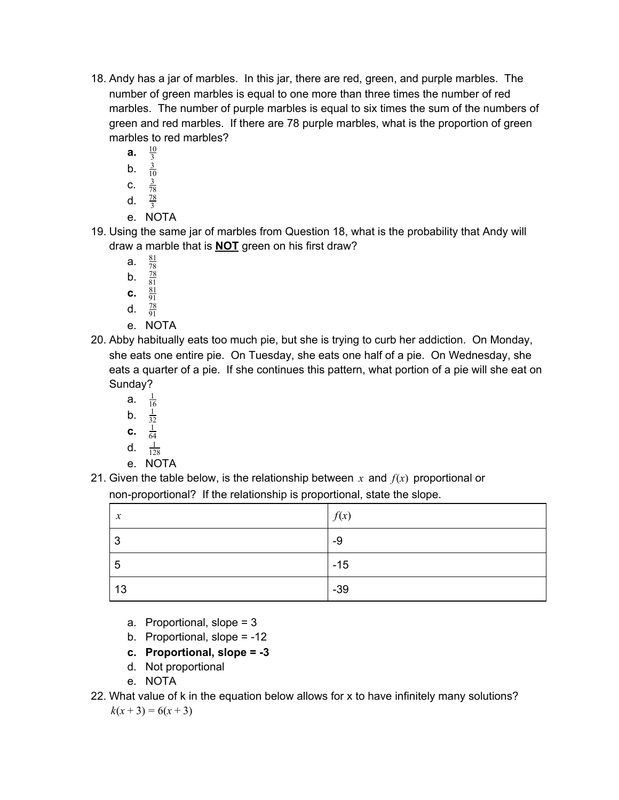- 18. Andy has a jar of marbles. In this jar, there are red, green, and purple marbles. The number of green marbles is equal to one more than three times the number of red marbles. The number of purple marbles is equal to six times the sum of the numbers of green and red marbles. If there are 78 purple marbles, what is the proportion of green marbles to red marbles?
	- **a.**  $\frac{10}{3}$ 10
	- b.  $\frac{3}{10}$ 10
	- **c.**  $\frac{3}{78}$ 78
	- d.  $\frac{78}{3}$
	- e. NOTA
- 19. Using the same jar of marbles from Question 18, what is the probability that Andy will draw a marble that is **NOT** green on his first draw?
	- a.  $\frac{81}{78}$
	- **b**.  $\frac{78}{81}$
	- **c.**  $\frac{81}{91}$
	- d.  $\frac{78}{91}$
	- e. NOTA
- 20. Abby habitually eats too much pie, but she is trying to curb her addiction. On Monday, she eats one entire pie. On Tuesday, she eats one half of a pie. On Wednesday, she eats a quarter of a pie. If she continues this pattern, what portion of a pie will she eat on Sunday?
	- a. 1 16
	- b.  $\frac{1}{32}$ 32
	- **c.**  $\frac{1}{64}$ 64
	- d.  $\frac{1}{12}$
	- 128 e. NOTA
- 21. Given the table below, is the relationship between *x* and *f*(*x*) proportional or non-proportional? If the relationship is proportional, state the slope.

| $\boldsymbol{\chi}$ | f(x)  |
|---------------------|-------|
| 3                   | -9    |
| 5                   | $-15$ |
| 13                  | $-39$ |

- a. Proportional, slope = 3
- b. Proportional, slope = -12
- **c. Proportional, slope = -3**
- d. Not proportional
- e. NOTA
- 22. What value of k in the equation below allows for x to have infinitely many solutions?  $k(x+3) = 6(x+3)$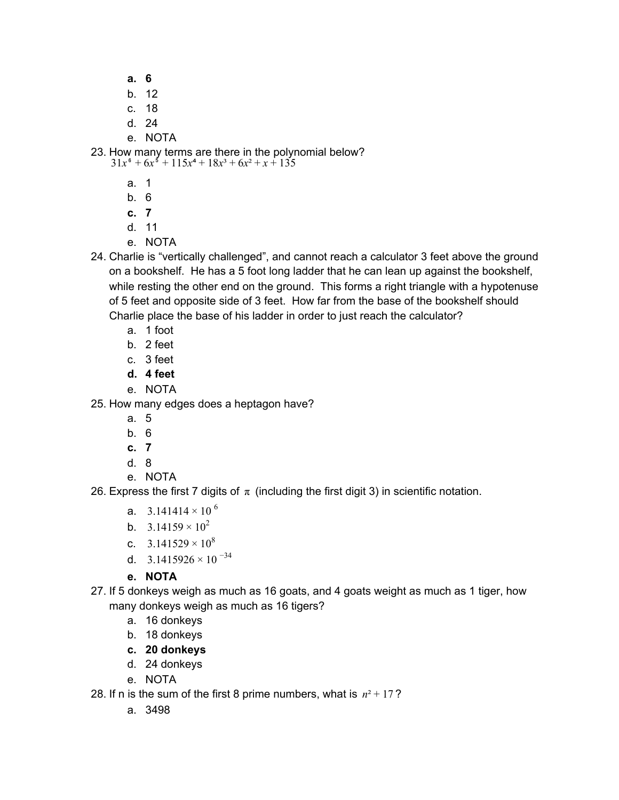- **a. 6**
- b. 12
- c. 18
- d. 24
- e. NOTA

23. How many terms are there in the polynomial below?  $31x^6 + 6x^5 + 115x^4 + 18x^3 + 6x^2 + x + 135$ 

- a. 1
- b. 6
- **c. 7**
- d. 11
- e. NOTA
- 24. Charlie is "vertically challenged", and cannot reach a calculator 3 feet above the ground on a bookshelf. He has a 5 foot long ladder that he can lean up against the bookshelf, while resting the other end on the ground. This forms a right triangle with a hypotenuse of 5 feet and opposite side of 3 feet. How far from the base of the bookshelf should Charlie place the base of his ladder in order to just reach the calculator?
	- a. 1 foot
	- b. 2 feet
	- c. 3 feet
	- **d. 4 feet**
	- e. NOTA
- 25. How many edges does a heptagon have?
	- a. 5
	- b. 6
	- **c. 7**
	- d. 8
	- e. NOTA

26. Express the first 7 digits of  $\pi$  (including the first digit 3) in scientific notation.

- a. 3.141414  $\times$  10  $^6$
- b.  $3.14159 \times 10^{2}$
- c.  $3.141529 \times 10^8$
- d.  $3.1415926 \times 10^{-34}$
- **e. NOTA**
- 27. If 5 donkeys weigh as much as 16 goats, and 4 goats weight as much as 1 tiger, how many donkeys weigh as much as 16 tigers?
	- a. 16 donkeys
	- b. 18 donkeys
	- **c. 20 donkeys**
	- d. 24 donkeys
	- e. NOTA

28. If n is the sum of the first 8 prime numbers, what is  $n^2 + 17$ ?

a. 3498